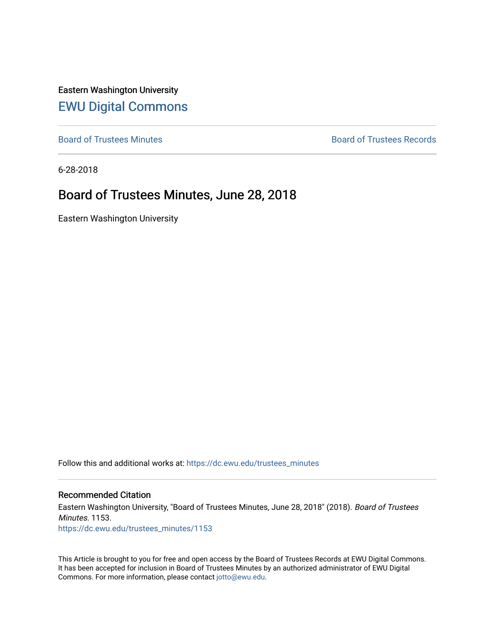Eastern Washington University [EWU Digital Commons](https://dc.ewu.edu/)

[Board of Trustees Minutes](https://dc.ewu.edu/trustees_minutes) **Board of Trustees Records Board of Trustees Records** 

6-28-2018

## Board of Trustees Minutes, June 28, 2018

Eastern Washington University

Follow this and additional works at: [https://dc.ewu.edu/trustees\\_minutes](https://dc.ewu.edu/trustees_minutes?utm_source=dc.ewu.edu%2Ftrustees_minutes%2F1153&utm_medium=PDF&utm_campaign=PDFCoverPages) 

#### Recommended Citation

Eastern Washington University, "Board of Trustees Minutes, June 28, 2018" (2018). Board of Trustees Minutes. 1153. [https://dc.ewu.edu/trustees\\_minutes/1153](https://dc.ewu.edu/trustees_minutes/1153?utm_source=dc.ewu.edu%2Ftrustees_minutes%2F1153&utm_medium=PDF&utm_campaign=PDFCoverPages) 

This Article is brought to you for free and open access by the Board of Trustees Records at EWU Digital Commons. It has been accepted for inclusion in Board of Trustees Minutes by an authorized administrator of EWU Digital Commons. For more information, please contact [jotto@ewu.edu.](mailto:jotto@ewu.edu)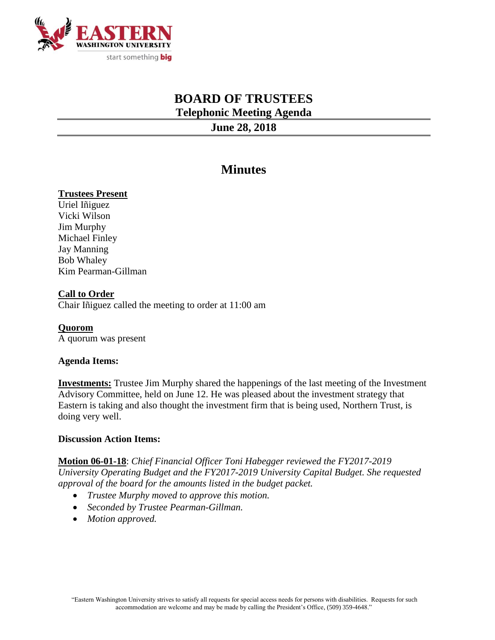

# **BOARD OF TRUSTEES Telephonic Meeting Agenda**

**June 28, 2018**

# **Minutes**

### **Trustees Present**

Uriel Iñiguez Vicki Wilson Jim Murphy Michael Finley Jay Manning Bob Whaley Kim Pearman-Gillman

### **Call to Order**

Chair Iñiguez called the meeting to order at 11:00 am

**Quorom** A quorum was present

### **Agenda Items:**

**Investments:** Trustee Jim Murphy shared the happenings of the last meeting of the Investment Advisory Committee, held on June 12. He was pleased about the investment strategy that Eastern is taking and also thought the investment firm that is being used, Northern Trust, is doing very well.

### **Discussion Action Items:**

**Motion 06-01-18**: *Chief Financial Officer Toni Habegger reviewed the FY2017-2019 University Operating Budget and the FY2017-2019 University Capital Budget. She requested approval of the board for the amounts listed in the budget packet.*

- *Trustee Murphy moved to approve this motion.*
- *Seconded by Trustee Pearman-Gillman.*
- *Motion approved.*